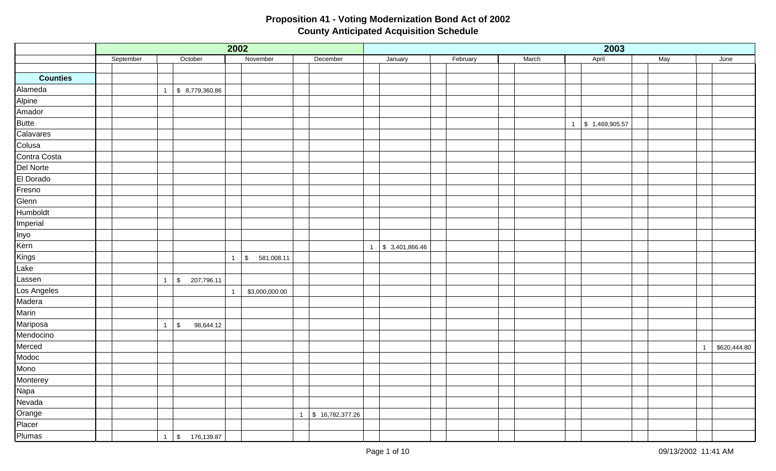|                 |           |                                                        | 2002           |                |                                 |              |                            |          |       | 2003                               |     |                                |
|-----------------|-----------|--------------------------------------------------------|----------------|----------------|---------------------------------|--------------|----------------------------|----------|-------|------------------------------------|-----|--------------------------------|
|                 | September | October                                                |                | November       | December                        |              | January                    | February | March | April                              | May | June                           |
|                 |           |                                                        |                |                |                                 |              |                            |          |       |                                    |     |                                |
| <b>Counties</b> |           |                                                        |                |                |                                 |              |                            |          |       |                                    |     |                                |
| Alameda         |           | \$8,779,360.86<br>$\mathbf{1}$                         |                |                |                                 |              |                            |          |       |                                    |     |                                |
| Alpine          |           |                                                        |                |                |                                 |              |                            |          |       |                                    |     |                                |
| Amador          |           |                                                        |                |                |                                 |              |                            |          |       |                                    |     |                                |
| <b>Butte</b>    |           |                                                        |                |                |                                 |              |                            |          |       | $\frac{1}{2}$ \$ 1,469,905.57<br>1 |     |                                |
| Calavares       |           |                                                        |                |                |                                 |              |                            |          |       |                                    |     |                                |
| Colusa          |           |                                                        |                |                |                                 |              |                            |          |       |                                    |     |                                |
| Contra Costa    |           |                                                        |                |                |                                 |              |                            |          |       |                                    |     |                                |
| Del Norte       |           |                                                        |                |                |                                 |              |                            |          |       |                                    |     |                                |
| El Dorado       |           |                                                        |                |                |                                 |              |                            |          |       |                                    |     |                                |
| Fresno          |           |                                                        |                |                |                                 |              |                            |          |       |                                    |     |                                |
| Glenn           |           |                                                        |                |                |                                 |              |                            |          |       |                                    |     |                                |
| Humboldt        |           |                                                        |                |                |                                 |              |                            |          |       |                                    |     |                                |
| Imperial        |           |                                                        |                |                |                                 |              |                            |          |       |                                    |     |                                |
| Inyo            |           |                                                        |                |                |                                 |              |                            |          |       |                                    |     |                                |
| Kern            |           |                                                        |                |                |                                 | $\mathbf{1}$ | $\frac{1}{3}$ 3,401,866.46 |          |       |                                    |     |                                |
| Kings           |           |                                                        | $\overline{1}$ | \$581,008.11   |                                 |              |                            |          |       |                                    |     |                                |
| Lake            |           |                                                        |                |                |                                 |              |                            |          |       |                                    |     |                                |
| Lassen          |           | \$207,796.11<br>$\mathbf{1}$                           |                |                |                                 |              |                            |          |       |                                    |     |                                |
| Los Angeles     |           |                                                        | $\mathbf{1}$   | \$3,000,000.00 |                                 |              |                            |          |       |                                    |     |                                |
| Madera          |           |                                                        |                |                |                                 |              |                            |          |       |                                    |     |                                |
| Marin           |           |                                                        |                |                |                                 |              |                            |          |       |                                    |     |                                |
| Mariposa        |           | $\boldsymbol{\mathsf{S}}$<br>98,644.12<br>$\mathbf{1}$ |                |                |                                 |              |                            |          |       |                                    |     |                                |
| Mendocino       |           |                                                        |                |                |                                 |              |                            |          |       |                                    |     |                                |
| Merced          |           |                                                        |                |                |                                 |              |                            |          |       |                                    |     | \$620,444.80<br>$\overline{1}$ |
| Modoc           |           |                                                        |                |                |                                 |              |                            |          |       |                                    |     |                                |
| Mono            |           |                                                        |                |                |                                 |              |                            |          |       |                                    |     |                                |
| Monterey        |           |                                                        |                |                |                                 |              |                            |          |       |                                    |     |                                |
| Napa            |           |                                                        |                |                |                                 |              |                            |          |       |                                    |     |                                |
| Nevada          |           |                                                        |                |                |                                 |              |                            |          |       |                                    |     |                                |
| Orange          |           |                                                        |                |                | \$16,782,377.26<br>$\mathbf{1}$ |              |                            |          |       |                                    |     |                                |
| Placer          |           |                                                        |                |                |                                 |              |                            |          |       |                                    |     |                                |
| Plumas          |           | $1 \quad $3 \quad 176,139.87$                          |                |                |                                 |              |                            |          |       |                                    |     |                                |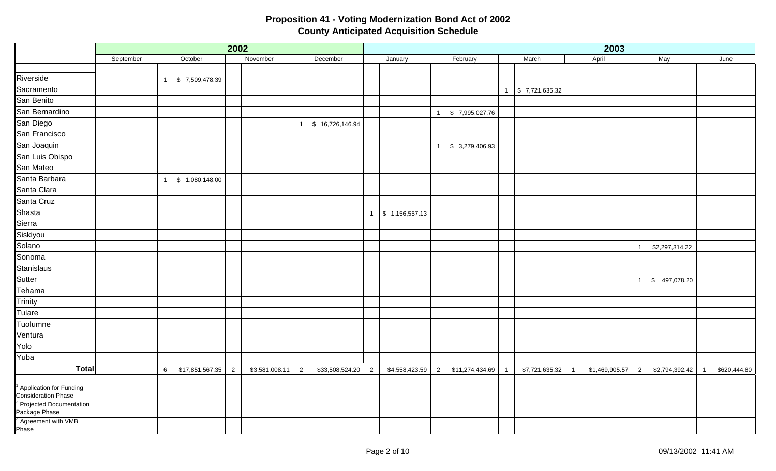|                                                       |           |              |                 | 2002           |                |                |                 |                |                            |                |                 |                |                |    | 2003           |                |                         |              |
|-------------------------------------------------------|-----------|--------------|-----------------|----------------|----------------|----------------|-----------------|----------------|----------------------------|----------------|-----------------|----------------|----------------|----|----------------|----------------|-------------------------|--------------|
|                                                       | September |              | October         |                | November       |                | December        |                | January                    |                | February        |                | March          |    | April          |                | May                     | June         |
|                                                       |           |              |                 |                |                |                |                 |                |                            |                |                 |                |                |    |                |                |                         |              |
| Riverside                                             |           | $\mathbf{1}$ | \$7,509,478.39  |                |                |                |                 |                |                            |                |                 |                |                |    |                |                |                         |              |
| Sacramento                                            |           |              |                 |                |                |                |                 |                |                            |                |                 | $\overline{1}$ | \$7,721,635.32 |    |                |                |                         |              |
| San Benito                                            |           |              |                 |                |                |                |                 |                |                            |                |                 |                |                |    |                |                |                         |              |
| San Bernardino                                        |           |              |                 |                |                |                |                 |                |                            | $\overline{1}$ | \$7,995,027.76  |                |                |    |                |                |                         |              |
| San Diego                                             |           |              |                 |                |                | $\mathbf{1}$   | \$16,726,146.94 |                |                            |                |                 |                |                |    |                |                |                         |              |
| San Francisco                                         |           |              |                 |                |                |                |                 |                |                            |                |                 |                |                |    |                |                |                         |              |
| San Joaquin                                           |           |              |                 |                |                |                |                 |                |                            | $\overline{1}$ | \$3,279,406.93  |                |                |    |                |                |                         |              |
| San Luis Obispo                                       |           |              |                 |                |                |                |                 |                |                            |                |                 |                |                |    |                |                |                         |              |
| San Mateo                                             |           |              |                 |                |                |                |                 |                |                            |                |                 |                |                |    |                |                |                         |              |
| Santa Barbara                                         |           | $\mathbf{1}$ | \$1,080,148.00  |                |                |                |                 |                |                            |                |                 |                |                |    |                |                |                         |              |
| Santa Clara                                           |           |              |                 |                |                |                |                 |                |                            |                |                 |                |                |    |                |                |                         |              |
| Santa Cruz                                            |           |              |                 |                |                |                |                 |                |                            |                |                 |                |                |    |                |                |                         |              |
| Shasta                                                |           |              |                 |                |                |                |                 | $\overline{1}$ | $\frac{1}{3}$ 1,156,557.13 |                |                 |                |                |    |                |                |                         |              |
| Sierra                                                |           |              |                 |                |                |                |                 |                |                            |                |                 |                |                |    |                |                |                         |              |
| Siskiyou                                              |           |              |                 |                |                |                |                 |                |                            |                |                 |                |                |    |                |                |                         |              |
| Solano                                                |           |              |                 |                |                |                |                 |                |                            |                |                 |                |                |    |                | $\overline{1}$ | \$2,297,314.22          |              |
| Sonoma                                                |           |              |                 |                |                |                |                 |                |                            |                |                 |                |                |    |                |                |                         |              |
| Stanislaus                                            |           |              |                 |                |                |                |                 |                |                            |                |                 |                |                |    |                |                |                         |              |
| Sutter                                                |           |              |                 |                |                |                |                 |                |                            |                |                 |                |                |    |                |                | $1 \quad$ \$ 497,078.20 |              |
| Tehama                                                |           |              |                 |                |                |                |                 |                |                            |                |                 |                |                |    |                |                |                         |              |
| Trinity                                               |           |              |                 |                |                |                |                 |                |                            |                |                 |                |                |    |                |                |                         |              |
| Tulare                                                |           |              |                 |                |                |                |                 |                |                            |                |                 |                |                |    |                |                |                         |              |
| Tuolumne                                              |           |              |                 |                |                |                |                 |                |                            |                |                 |                |                |    |                |                |                         |              |
| Ventura                                               |           |              |                 |                |                |                |                 |                |                            |                |                 |                |                |    |                |                |                         |              |
| Yolo                                                  |           |              |                 |                |                |                |                 |                |                            |                |                 |                |                |    |                |                |                         |              |
| Yuba                                                  |           |              |                 |                |                |                |                 |                |                            |                |                 |                |                |    |                |                |                         |              |
| <b>Total</b>                                          |           | 6            | \$17,851,567.35 | $\overline{2}$ | \$3,581,008.11 | $\overline{2}$ | \$33,508,524.20 | $\overline{2}$ | \$4,558,423.59             | $\overline{2}$ | \$11,274,434.69 |                | \$7,721,635.32 | -1 | \$1,469,905.57 | $\overline{2}$ | \$2,794,392.42          | \$620,444.80 |
|                                                       |           |              |                 |                |                |                |                 |                |                            |                |                 |                |                |    |                |                |                         |              |
| Application for Funding<br>Consideration Phase        |           |              |                 |                |                |                |                 |                |                            |                |                 |                |                |    |                |                |                         |              |
| <sup>2</sup> Projected Documentation<br>Package Phase |           |              |                 |                |                |                |                 |                |                            |                |                 |                |                |    |                |                |                         |              |
| <sup>3</sup> Agreement with VMB<br>Phase              |           |              |                 |                |                |                |                 |                |                            |                |                 |                |                |    |                |                |                         |              |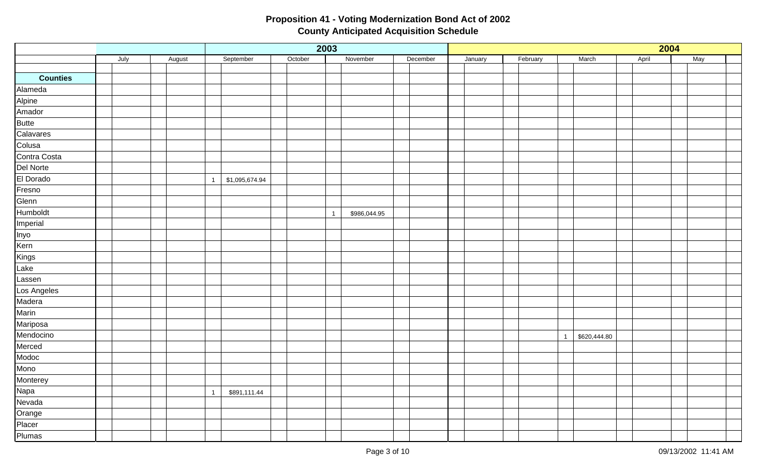|                 |      |        |                                  |         | 2003           |              |          |  |         |          |                |              |       | 2004 |     |  |
|-----------------|------|--------|----------------------------------|---------|----------------|--------------|----------|--|---------|----------|----------------|--------------|-------|------|-----|--|
|                 | July | August | September                        | October |                | November     | December |  | January | February |                | March        | April |      | May |  |
|                 |      |        |                                  |         |                |              |          |  |         |          |                |              |       |      |     |  |
| <b>Counties</b> |      |        |                                  |         |                |              |          |  |         |          |                |              |       |      |     |  |
| Alameda         |      |        |                                  |         |                |              |          |  |         |          |                |              |       |      |     |  |
| Alpine          |      |        |                                  |         |                |              |          |  |         |          |                |              |       |      |     |  |
| Amador          |      |        |                                  |         |                |              |          |  |         |          |                |              |       |      |     |  |
| <b>Butte</b>    |      |        |                                  |         |                |              |          |  |         |          |                |              |       |      |     |  |
| Calavares       |      |        |                                  |         |                |              |          |  |         |          |                |              |       |      |     |  |
| Colusa          |      |        |                                  |         |                |              |          |  |         |          |                |              |       |      |     |  |
| Contra Costa    |      |        |                                  |         |                |              |          |  |         |          |                |              |       |      |     |  |
| Del Norte       |      |        |                                  |         |                |              |          |  |         |          |                |              |       |      |     |  |
| El Dorado       |      |        | \$1,095,674.94<br>$\overline{1}$ |         |                |              |          |  |         |          |                |              |       |      |     |  |
| Fresno          |      |        |                                  |         |                |              |          |  |         |          |                |              |       |      |     |  |
| Glenn           |      |        |                                  |         |                |              |          |  |         |          |                |              |       |      |     |  |
| Humboldt        |      |        |                                  |         | $\overline{1}$ | \$986,044.95 |          |  |         |          |                |              |       |      |     |  |
| Imperial        |      |        |                                  |         |                |              |          |  |         |          |                |              |       |      |     |  |
| Inyo            |      |        |                                  |         |                |              |          |  |         |          |                |              |       |      |     |  |
| Kern            |      |        |                                  |         |                |              |          |  |         |          |                |              |       |      |     |  |
| Kings           |      |        |                                  |         |                |              |          |  |         |          |                |              |       |      |     |  |
| Lake            |      |        |                                  |         |                |              |          |  |         |          |                |              |       |      |     |  |
| Lassen          |      |        |                                  |         |                |              |          |  |         |          |                |              |       |      |     |  |
| Los Angeles     |      |        |                                  |         |                |              |          |  |         |          |                |              |       |      |     |  |
| Madera          |      |        |                                  |         |                |              |          |  |         |          |                |              |       |      |     |  |
| Marin           |      |        |                                  |         |                |              |          |  |         |          |                |              |       |      |     |  |
| Mariposa        |      |        |                                  |         |                |              |          |  |         |          |                |              |       |      |     |  |
| Mendocino       |      |        |                                  |         |                |              |          |  |         |          | $\overline{1}$ | \$620,444.80 |       |      |     |  |
| Merced          |      |        |                                  |         |                |              |          |  |         |          |                |              |       |      |     |  |
| Modoc           |      |        |                                  |         |                |              |          |  |         |          |                |              |       |      |     |  |
| Mono            |      |        |                                  |         |                |              |          |  |         |          |                |              |       |      |     |  |
| Monterey        |      |        |                                  |         |                |              |          |  |         |          |                |              |       |      |     |  |
| Napa            |      |        | \$891,111.44<br>$\overline{1}$   |         |                |              |          |  |         |          |                |              |       |      |     |  |
| Nevada          |      |        |                                  |         |                |              |          |  |         |          |                |              |       |      |     |  |
| Orange          |      |        |                                  |         |                |              |          |  |         |          |                |              |       |      |     |  |
| Placer          |      |        |                                  |         |                |              |          |  |         |          |                |              |       |      |     |  |
| Plumas          |      |        |                                  |         |                |              |          |  |         |          |                |              |       |      |     |  |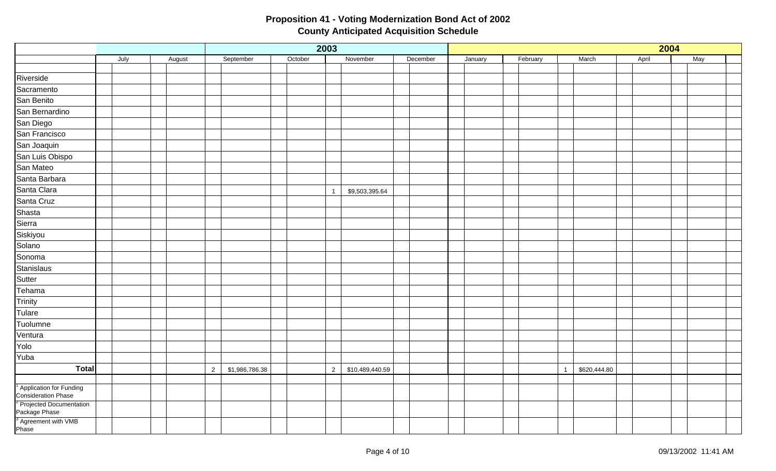|                                                       |      |        |                |                |         | 2003           |                 |          |         |          |                              | 2004  |     |  |
|-------------------------------------------------------|------|--------|----------------|----------------|---------|----------------|-----------------|----------|---------|----------|------------------------------|-------|-----|--|
|                                                       | July | August |                | September      | October |                | November        | December | January | February | March                        | April | May |  |
|                                                       |      |        |                |                |         |                |                 |          |         |          |                              |       |     |  |
| Riverside                                             |      |        |                |                |         |                |                 |          |         |          |                              |       |     |  |
| Sacramento                                            |      |        |                |                |         |                |                 |          |         |          |                              |       |     |  |
| San Benito                                            |      |        |                |                |         |                |                 |          |         |          |                              |       |     |  |
| San Bernardino                                        |      |        |                |                |         |                |                 |          |         |          |                              |       |     |  |
| San Diego                                             |      |        |                |                |         |                |                 |          |         |          |                              |       |     |  |
| San Francisco                                         |      |        |                |                |         |                |                 |          |         |          |                              |       |     |  |
| San Joaquin                                           |      |        |                |                |         |                |                 |          |         |          |                              |       |     |  |
| San Luis Obispo                                       |      |        |                |                |         |                |                 |          |         |          |                              |       |     |  |
| San Mateo                                             |      |        |                |                |         |                |                 |          |         |          |                              |       |     |  |
| Santa Barbara                                         |      |        |                |                |         |                |                 |          |         |          |                              |       |     |  |
| Santa Clara                                           |      |        |                |                |         | $\mathbf{1}$   | \$9,503,395.64  |          |         |          |                              |       |     |  |
| Santa Cruz                                            |      |        |                |                |         |                |                 |          |         |          |                              |       |     |  |
| Shasta                                                |      |        |                |                |         |                |                 |          |         |          |                              |       |     |  |
| Sierra                                                |      |        |                |                |         |                |                 |          |         |          |                              |       |     |  |
| Siskiyou                                              |      |        |                |                |         |                |                 |          |         |          |                              |       |     |  |
| Solano                                                |      |        |                |                |         |                |                 |          |         |          |                              |       |     |  |
| Sonoma                                                |      |        |                |                |         |                |                 |          |         |          |                              |       |     |  |
| Stanislaus                                            |      |        |                |                |         |                |                 |          |         |          |                              |       |     |  |
| Sutter                                                |      |        |                |                |         |                |                 |          |         |          |                              |       |     |  |
| Tehama                                                |      |        |                |                |         |                |                 |          |         |          |                              |       |     |  |
| Trinity                                               |      |        |                |                |         |                |                 |          |         |          |                              |       |     |  |
| Tulare                                                |      |        |                |                |         |                |                 |          |         |          |                              |       |     |  |
| Tuolumne                                              |      |        |                |                |         |                |                 |          |         |          |                              |       |     |  |
| Ventura                                               |      |        |                |                |         |                |                 |          |         |          |                              |       |     |  |
| Yolo                                                  |      |        |                |                |         |                |                 |          |         |          |                              |       |     |  |
| Yuba                                                  |      |        |                |                |         |                |                 |          |         |          |                              |       |     |  |
| Total                                                 |      |        | $\overline{2}$ | \$1,986,786.38 |         | $\overline{2}$ | \$10,489,440.59 |          |         |          | \$620,444.80<br>$\mathbf{1}$ |       |     |  |
|                                                       |      |        |                |                |         |                |                 |          |         |          |                              |       |     |  |
| Application for Funding<br>Consideration Phase        |      |        |                |                |         |                |                 |          |         |          |                              |       |     |  |
| <sup>2</sup> Projected Documentation<br>Package Phase |      |        |                |                |         |                |                 |          |         |          |                              |       |     |  |
| <sup>3</sup> Agreement with VMB<br>Phase              |      |        |                |                |         |                |                 |          |         |          |                              |       |     |  |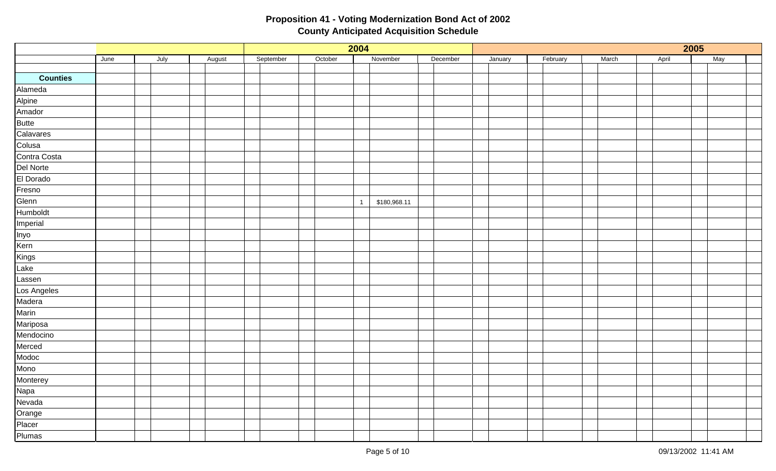|                 |      |      |        |           |         | 2004         |              |          |         |          |       |       | 2005 |     |  |
|-----------------|------|------|--------|-----------|---------|--------------|--------------|----------|---------|----------|-------|-------|------|-----|--|
|                 | June | July | August | September | October |              | November     | December | January | February | March | April |      | May |  |
|                 |      |      |        |           |         |              |              |          |         |          |       |       |      |     |  |
| <b>Counties</b> |      |      |        |           |         |              |              |          |         |          |       |       |      |     |  |
| Alameda         |      |      |        |           |         |              |              |          |         |          |       |       |      |     |  |
| Alpine          |      |      |        |           |         |              |              |          |         |          |       |       |      |     |  |
| Amador          |      |      |        |           |         |              |              |          |         |          |       |       |      |     |  |
| <b>Butte</b>    |      |      |        |           |         |              |              |          |         |          |       |       |      |     |  |
| Calavares       |      |      |        |           |         |              |              |          |         |          |       |       |      |     |  |
| Colusa          |      |      |        |           |         |              |              |          |         |          |       |       |      |     |  |
| Contra Costa    |      |      |        |           |         |              |              |          |         |          |       |       |      |     |  |
| Del Norte       |      |      |        |           |         |              |              |          |         |          |       |       |      |     |  |
| El Dorado       |      |      |        |           |         |              |              |          |         |          |       |       |      |     |  |
| Fresno          |      |      |        |           |         |              |              |          |         |          |       |       |      |     |  |
| Glenn           |      |      |        |           |         | $\mathbf{1}$ | \$180,968.11 |          |         |          |       |       |      |     |  |
| Humboldt        |      |      |        |           |         |              |              |          |         |          |       |       |      |     |  |
| Imperial        |      |      |        |           |         |              |              |          |         |          |       |       |      |     |  |
| Inyo            |      |      |        |           |         |              |              |          |         |          |       |       |      |     |  |
| Kern            |      |      |        |           |         |              |              |          |         |          |       |       |      |     |  |
| Kings           |      |      |        |           |         |              |              |          |         |          |       |       |      |     |  |
| Lake            |      |      |        |           |         |              |              |          |         |          |       |       |      |     |  |
| Lassen          |      |      |        |           |         |              |              |          |         |          |       |       |      |     |  |
| Los Angeles     |      |      |        |           |         |              |              |          |         |          |       |       |      |     |  |
| Madera          |      |      |        |           |         |              |              |          |         |          |       |       |      |     |  |
| Marin           |      |      |        |           |         |              |              |          |         |          |       |       |      |     |  |
| Mariposa        |      |      |        |           |         |              |              |          |         |          |       |       |      |     |  |
| Mendocino       |      |      |        |           |         |              |              |          |         |          |       |       |      |     |  |
| Merced          |      |      |        |           |         |              |              |          |         |          |       |       |      |     |  |
| Modoc           |      |      |        |           |         |              |              |          |         |          |       |       |      |     |  |
| Mono            |      |      |        |           |         |              |              |          |         |          |       |       |      |     |  |
| Monterey        |      |      |        |           |         |              |              |          |         |          |       |       |      |     |  |
| Napa            |      |      |        |           |         |              |              |          |         |          |       |       |      |     |  |
| Nevada          |      |      |        |           |         |              |              |          |         |          |       |       |      |     |  |
| Orange          |      |      |        |           |         |              |              |          |         |          |       |       |      |     |  |
| Placer          |      |      |        |           |         |              |              |          |         |          |       |       |      |     |  |
| Plumas          |      |      |        |           |         |              |              |          |         |          |       |       |      |     |  |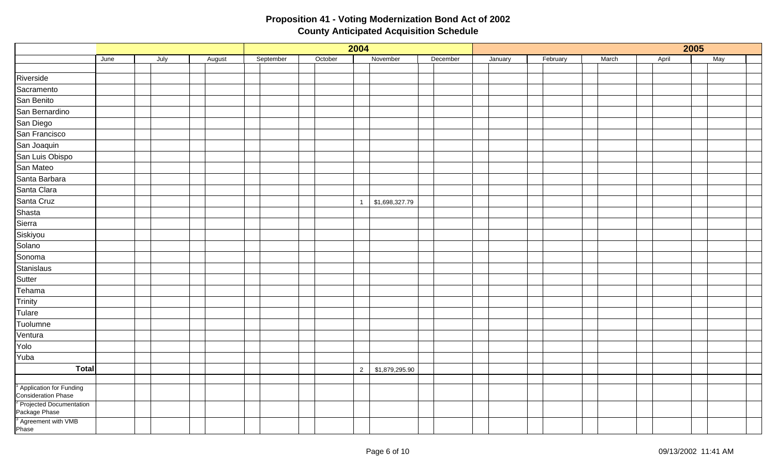|                                                             |      |      |        |           |         | 2004           |                |          |         |          |       |       | 2005 |     |  |
|-------------------------------------------------------------|------|------|--------|-----------|---------|----------------|----------------|----------|---------|----------|-------|-------|------|-----|--|
|                                                             | June | July | August | September | October |                | November       | December | January | February | March | April |      | May |  |
|                                                             |      |      |        |           |         |                |                |          |         |          |       |       |      |     |  |
| Riverside                                                   |      |      |        |           |         |                |                |          |         |          |       |       |      |     |  |
| Sacramento                                                  |      |      |        |           |         |                |                |          |         |          |       |       |      |     |  |
| San Benito                                                  |      |      |        |           |         |                |                |          |         |          |       |       |      |     |  |
| San Bernardino                                              |      |      |        |           |         |                |                |          |         |          |       |       |      |     |  |
| San Diego                                                   |      |      |        |           |         |                |                |          |         |          |       |       |      |     |  |
| San Francisco                                               |      |      |        |           |         |                |                |          |         |          |       |       |      |     |  |
| San Joaquin                                                 |      |      |        |           |         |                |                |          |         |          |       |       |      |     |  |
| San Luis Obispo                                             |      |      |        |           |         |                |                |          |         |          |       |       |      |     |  |
| San Mateo                                                   |      |      |        |           |         |                |                |          |         |          |       |       |      |     |  |
| Santa Barbara                                               |      |      |        |           |         |                |                |          |         |          |       |       |      |     |  |
| Santa Clara                                                 |      |      |        |           |         |                |                |          |         |          |       |       |      |     |  |
| Santa Cruz                                                  |      |      |        |           |         | $\mathbf{1}$   | \$1,698,327.79 |          |         |          |       |       |      |     |  |
| Shasta                                                      |      |      |        |           |         |                |                |          |         |          |       |       |      |     |  |
| Sierra                                                      |      |      |        |           |         |                |                |          |         |          |       |       |      |     |  |
| Siskiyou                                                    |      |      |        |           |         |                |                |          |         |          |       |       |      |     |  |
| Solano                                                      |      |      |        |           |         |                |                |          |         |          |       |       |      |     |  |
| Sonoma                                                      |      |      |        |           |         |                |                |          |         |          |       |       |      |     |  |
| Stanislaus                                                  |      |      |        |           |         |                |                |          |         |          |       |       |      |     |  |
| Sutter                                                      |      |      |        |           |         |                |                |          |         |          |       |       |      |     |  |
| Tehama                                                      |      |      |        |           |         |                |                |          |         |          |       |       |      |     |  |
| Trinity                                                     |      |      |        |           |         |                |                |          |         |          |       |       |      |     |  |
| Tulare                                                      |      |      |        |           |         |                |                |          |         |          |       |       |      |     |  |
| Tuolumne                                                    |      |      |        |           |         |                |                |          |         |          |       |       |      |     |  |
| Ventura                                                     |      |      |        |           |         |                |                |          |         |          |       |       |      |     |  |
| Yolo                                                        |      |      |        |           |         |                |                |          |         |          |       |       |      |     |  |
| Yuba                                                        |      |      |        |           |         |                |                |          |         |          |       |       |      |     |  |
| Total                                                       |      |      |        |           |         | $\overline{2}$ | \$1,879,295.90 |          |         |          |       |       |      |     |  |
|                                                             |      |      |        |           |         |                |                |          |         |          |       |       |      |     |  |
| <sup>1</sup> Application for Funding<br>Consideration Phase |      |      |        |           |         |                |                |          |         |          |       |       |      |     |  |
| <sup>2</sup> Projected Documentation<br>Package Phase       |      |      |        |           |         |                |                |          |         |          |       |       |      |     |  |
| <sup>3</sup> Agreement with VMB<br>Phase                    |      |      |        |           |         |                |                |          |         |          |       |       |      |     |  |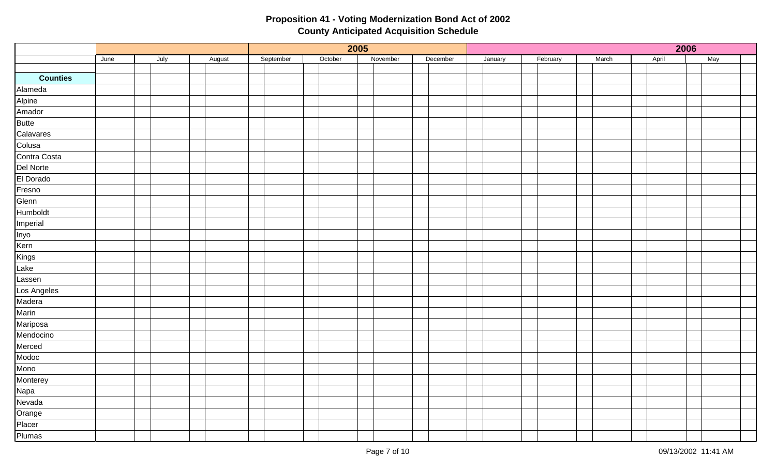|                 |      |      |        |           | 2005    |          |          |         |          |       |       | 2006 |     |  |
|-----------------|------|------|--------|-----------|---------|----------|----------|---------|----------|-------|-------|------|-----|--|
|                 | June | July | August | September | October | November | December | January | February | March | April |      | May |  |
|                 |      |      |        |           |         |          |          |         |          |       |       |      |     |  |
| <b>Counties</b> |      |      |        |           |         |          |          |         |          |       |       |      |     |  |
| Alameda         |      |      |        |           |         |          |          |         |          |       |       |      |     |  |
| Alpine          |      |      |        |           |         |          |          |         |          |       |       |      |     |  |
| Amador          |      |      |        |           |         |          |          |         |          |       |       |      |     |  |
| <b>Butte</b>    |      |      |        |           |         |          |          |         |          |       |       |      |     |  |
| Calavares       |      |      |        |           |         |          |          |         |          |       |       |      |     |  |
| Colusa          |      |      |        |           |         |          |          |         |          |       |       |      |     |  |
| Contra Costa    |      |      |        |           |         |          |          |         |          |       |       |      |     |  |
| Del Norte       |      |      |        |           |         |          |          |         |          |       |       |      |     |  |
| El Dorado       |      |      |        |           |         |          |          |         |          |       |       |      |     |  |
| Fresno          |      |      |        |           |         |          |          |         |          |       |       |      |     |  |
| Glenn           |      |      |        |           |         |          |          |         |          |       |       |      |     |  |
| Humboldt        |      |      |        |           |         |          |          |         |          |       |       |      |     |  |
| Imperial        |      |      |        |           |         |          |          |         |          |       |       |      |     |  |
| Inyo            |      |      |        |           |         |          |          |         |          |       |       |      |     |  |
| Kern            |      |      |        |           |         |          |          |         |          |       |       |      |     |  |
| Kings           |      |      |        |           |         |          |          |         |          |       |       |      |     |  |
| Lake            |      |      |        |           |         |          |          |         |          |       |       |      |     |  |
| Lassen          |      |      |        |           |         |          |          |         |          |       |       |      |     |  |
| Los Angeles     |      |      |        |           |         |          |          |         |          |       |       |      |     |  |
| Madera          |      |      |        |           |         |          |          |         |          |       |       |      |     |  |
| Marin           |      |      |        |           |         |          |          |         |          |       |       |      |     |  |
| Mariposa        |      |      |        |           |         |          |          |         |          |       |       |      |     |  |
| Mendocino       |      |      |        |           |         |          |          |         |          |       |       |      |     |  |
| Merced          |      |      |        |           |         |          |          |         |          |       |       |      |     |  |
| Modoc           |      |      |        |           |         |          |          |         |          |       |       |      |     |  |
| Mono            |      |      |        |           |         |          |          |         |          |       |       |      |     |  |
| Monterey        |      |      |        |           |         |          |          |         |          |       |       |      |     |  |
|                 |      |      |        |           |         |          |          |         |          |       |       |      |     |  |
| Napa            |      |      |        |           |         |          |          |         |          |       |       |      |     |  |
| Nevada          |      |      |        |           |         |          |          |         |          |       |       |      |     |  |
| Orange          |      |      |        |           |         |          |          |         |          |       |       |      |     |  |
| Placer          |      |      |        |           |         |          |          |         |          |       |       |      |     |  |
| Plumas          |      |      |        |           |         |          |          |         |          |       |       |      |     |  |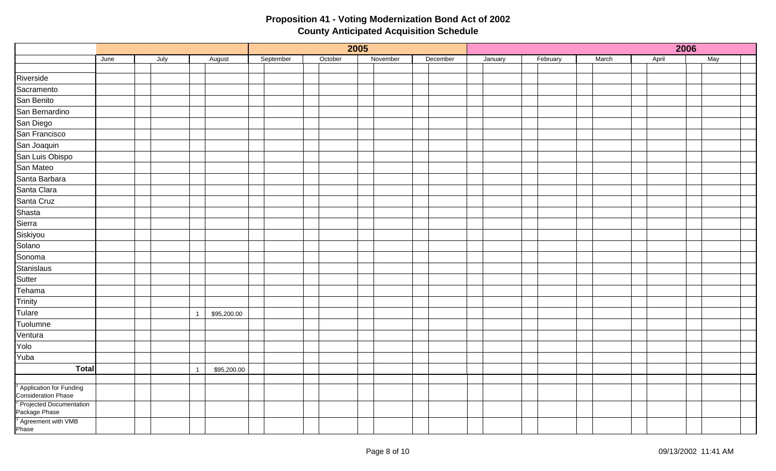|                                                       |      |      |                |             |           | 2005    |          |          |         |          |       |       | 2006 |  |
|-------------------------------------------------------|------|------|----------------|-------------|-----------|---------|----------|----------|---------|----------|-------|-------|------|--|
|                                                       | June | July |                | August      | September | October | November | December | January | February | March | April | May  |  |
|                                                       |      |      |                |             |           |         |          |          |         |          |       |       |      |  |
| Riverside                                             |      |      |                |             |           |         |          |          |         |          |       |       |      |  |
| Sacramento                                            |      |      |                |             |           |         |          |          |         |          |       |       |      |  |
| San Benito                                            |      |      |                |             |           |         |          |          |         |          |       |       |      |  |
| San Bernardino                                        |      |      |                |             |           |         |          |          |         |          |       |       |      |  |
| San Diego                                             |      |      |                |             |           |         |          |          |         |          |       |       |      |  |
| San Francisco                                         |      |      |                |             |           |         |          |          |         |          |       |       |      |  |
| San Joaquin                                           |      |      |                |             |           |         |          |          |         |          |       |       |      |  |
| San Luis Obispo                                       |      |      |                |             |           |         |          |          |         |          |       |       |      |  |
| San Mateo                                             |      |      |                |             |           |         |          |          |         |          |       |       |      |  |
| Santa Barbara                                         |      |      |                |             |           |         |          |          |         |          |       |       |      |  |
| Santa Clara                                           |      |      |                |             |           |         |          |          |         |          |       |       |      |  |
| Santa Cruz                                            |      |      |                |             |           |         |          |          |         |          |       |       |      |  |
| Shasta                                                |      |      |                |             |           |         |          |          |         |          |       |       |      |  |
| Sierra                                                |      |      |                |             |           |         |          |          |         |          |       |       |      |  |
| Siskiyou                                              |      |      |                |             |           |         |          |          |         |          |       |       |      |  |
| Solano                                                |      |      |                |             |           |         |          |          |         |          |       |       |      |  |
| Sonoma                                                |      |      |                |             |           |         |          |          |         |          |       |       |      |  |
| Stanislaus                                            |      |      |                |             |           |         |          |          |         |          |       |       |      |  |
| Sutter                                                |      |      |                |             |           |         |          |          |         |          |       |       |      |  |
| Tehama                                                |      |      |                |             |           |         |          |          |         |          |       |       |      |  |
| Trinity                                               |      |      |                |             |           |         |          |          |         |          |       |       |      |  |
| Tulare                                                |      |      | $\mathbf{1}$   | \$95,200.00 |           |         |          |          |         |          |       |       |      |  |
| Tuolumne                                              |      |      |                |             |           |         |          |          |         |          |       |       |      |  |
| Ventura                                               |      |      |                |             |           |         |          |          |         |          |       |       |      |  |
| Yolo                                                  |      |      |                |             |           |         |          |          |         |          |       |       |      |  |
| Yuba                                                  |      |      |                |             |           |         |          |          |         |          |       |       |      |  |
| <b>Total</b>                                          |      |      | $\overline{1}$ | \$95,200.00 |           |         |          |          |         |          |       |       |      |  |
|                                                       |      |      |                |             |           |         |          |          |         |          |       |       |      |  |
| Application for Funding<br>Consideration Phase        |      |      |                |             |           |         |          |          |         |          |       |       |      |  |
| <sup>2</sup> Projected Documentation<br>Package Phase |      |      |                |             |           |         |          |          |         |          |       |       |      |  |
| <sup>3</sup> Agreement with VMB<br>Phase              |      |      |                |             |           |         |          |          |         |          |       |       |      |  |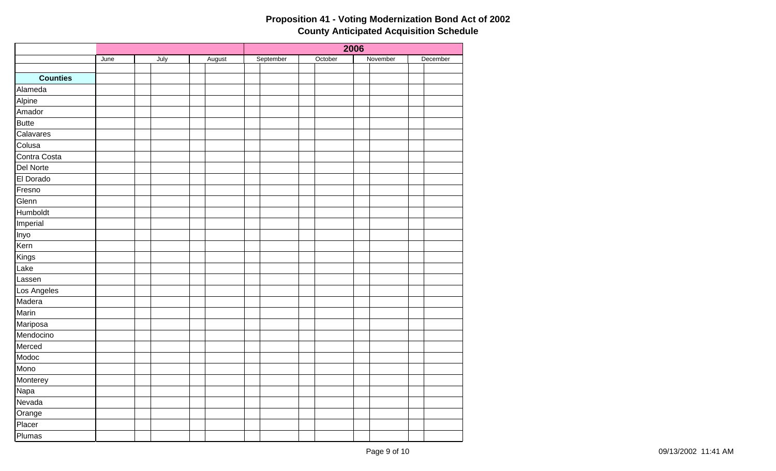| September<br>November<br>December<br>July<br>August<br>October<br>June<br><b>Counties</b><br>Alameda<br>Alpine<br>Amador<br><b>Butte</b><br>Calavares<br>Colusa<br>Los Angeles<br>Mariposa<br>Mendocino<br>Monterey<br>Orange |              |  |  | 2006 |  |
|-------------------------------------------------------------------------------------------------------------------------------------------------------------------------------------------------------------------------------|--------------|--|--|------|--|
|                                                                                                                                                                                                                               |              |  |  |      |  |
|                                                                                                                                                                                                                               |              |  |  |      |  |
|                                                                                                                                                                                                                               |              |  |  |      |  |
|                                                                                                                                                                                                                               |              |  |  |      |  |
|                                                                                                                                                                                                                               |              |  |  |      |  |
|                                                                                                                                                                                                                               |              |  |  |      |  |
|                                                                                                                                                                                                                               |              |  |  |      |  |
|                                                                                                                                                                                                                               |              |  |  |      |  |
|                                                                                                                                                                                                                               |              |  |  |      |  |
|                                                                                                                                                                                                                               | Contra Costa |  |  |      |  |
|                                                                                                                                                                                                                               | Del Norte    |  |  |      |  |
|                                                                                                                                                                                                                               | El Dorado    |  |  |      |  |
|                                                                                                                                                                                                                               | Fresno       |  |  |      |  |
|                                                                                                                                                                                                                               | Glenn        |  |  |      |  |
|                                                                                                                                                                                                                               | Humboldt     |  |  |      |  |
|                                                                                                                                                                                                                               | Imperial     |  |  |      |  |
|                                                                                                                                                                                                                               | Inyo         |  |  |      |  |
|                                                                                                                                                                                                                               | Kern         |  |  |      |  |
|                                                                                                                                                                                                                               | Kings        |  |  |      |  |
|                                                                                                                                                                                                                               | Lake         |  |  |      |  |
|                                                                                                                                                                                                                               | Lassen       |  |  |      |  |
|                                                                                                                                                                                                                               |              |  |  |      |  |
|                                                                                                                                                                                                                               | Madera       |  |  |      |  |
|                                                                                                                                                                                                                               | Marin        |  |  |      |  |
|                                                                                                                                                                                                                               |              |  |  |      |  |
|                                                                                                                                                                                                                               |              |  |  |      |  |
|                                                                                                                                                                                                                               | Merced       |  |  |      |  |
|                                                                                                                                                                                                                               | Modoc        |  |  |      |  |
|                                                                                                                                                                                                                               | Mono         |  |  |      |  |
|                                                                                                                                                                                                                               |              |  |  |      |  |
|                                                                                                                                                                                                                               | Napa         |  |  |      |  |
|                                                                                                                                                                                                                               | Nevada       |  |  |      |  |
|                                                                                                                                                                                                                               |              |  |  |      |  |
|                                                                                                                                                                                                                               | Placer       |  |  |      |  |
|                                                                                                                                                                                                                               | Plumas       |  |  |      |  |